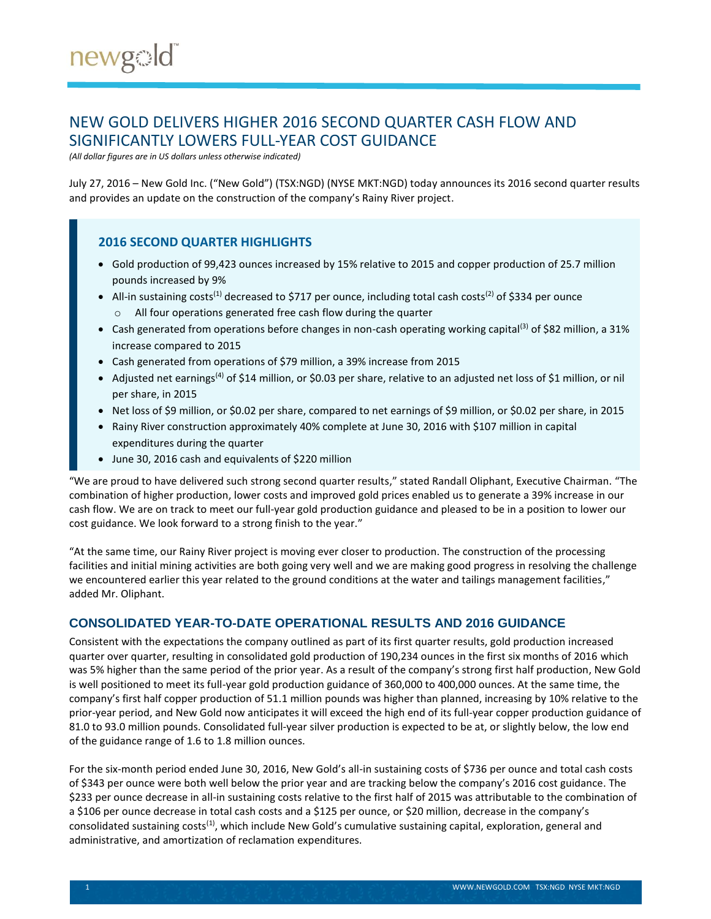# NEW GOLD DELIVERS HIGHER 2016 SECOND QUARTER CASH FLOW AND SIGNIFICANTLY LOWERS FULL-YEAR COST GUIDANCE

*(All dollar figures are in US dollars unless otherwise indicated)*

July 27, 2016 – New Gold Inc. ("New Gold") (TSX:NGD) (NYSE MKT:NGD) today announces its 2016 second quarter results and provides an update on the construction of the company's Rainy River project.

### **2016 SECOND QUARTER HIGHLIGHTS**

- Gold production of 99,423 ounces increased by 15% relative to 2015 and copper production of 25.7 million pounds increased by 9%
- All-in sustaining costs<sup>(1)</sup> decreased to \$717 per ounce, including total cash costs<sup>(2)</sup> of \$334 per ounce
	- o All four operations generated free cash flow during the quarter
- Cash generated from operations before changes in non-cash operating working capital<sup>(3)</sup> of \$82 million, a 31% increase compared to 2015
- Cash generated from operations of \$79 million, a 39% increase from 2015
- Adjusted net earnings<sup>(4)</sup> of \$14 million, or \$0.03 per share, relative to an adjusted net loss of \$1 million, or nil per share, in 2015
- Net loss of \$9 million, or \$0.02 per share, compared to net earnings of \$9 million, or \$0.02 per share, in 2015
- Rainy River construction approximately 40% complete at June 30, 2016 with \$107 million in capital expenditures during the quarter
- June 30, 2016 cash and equivalents of \$220 million

"We are proud to have delivered such strong second quarter results," stated Randall Oliphant, Executive Chairman. "The combination of higher production, lower costs and improved gold prices enabled us to generate a 39% increase in our cash flow. We are on track to meet our full-year gold production guidance and pleased to be in a position to lower our cost guidance. We look forward to a strong finish to the year."

"At the same time, our Rainy River project is moving ever closer to production. The construction of the processing facilities and initial mining activities are both going very well and we are making good progress in resolving the challenge we encountered earlier this year related to the ground conditions at the water and tailings management facilities," added Mr. Oliphant.

# **CONSOLIDATED YEAR-TO-DATE OPERATIONAL RESULTS AND 2016 GUIDANCE**

Consistent with the expectations the company outlined as part of its first quarter results, gold production increased quarter over quarter, resulting in consolidated gold production of 190,234 ounces in the first six months of 2016 which was 5% higher than the same period of the prior year. As a result of the company's strong first half production, New Gold is well positioned to meet its full-year gold production guidance of 360,000 to 400,000 ounces. At the same time, the company's first half copper production of 51.1 million pounds was higher than planned, increasing by 10% relative to the prior-year period, and New Gold now anticipates it will exceed the high end of its full-year copper production guidance of 81.0 to 93.0 million pounds. Consolidated full-year silver production is expected to be at, or slightly below, the low end of the guidance range of 1.6 to 1.8 million ounces.

For the six-month period ended June 30, 2016, New Gold's all-in sustaining costs of \$736 per ounce and total cash costs of \$343 per ounce were both well below the prior year and are tracking below the company's 2016 cost guidance. The \$233 per ounce decrease in all-in sustaining costs relative to the first half of 2015 was attributable to the combination of a \$106 per ounce decrease in total cash costs and a \$125 per ounce, or \$20 million, decrease in the company's consolidated sustaining costs<sup>(1)</sup>, which include New Gold's cumulative sustaining capital, exploration, general and administrative, and amortization of reclamation expenditures.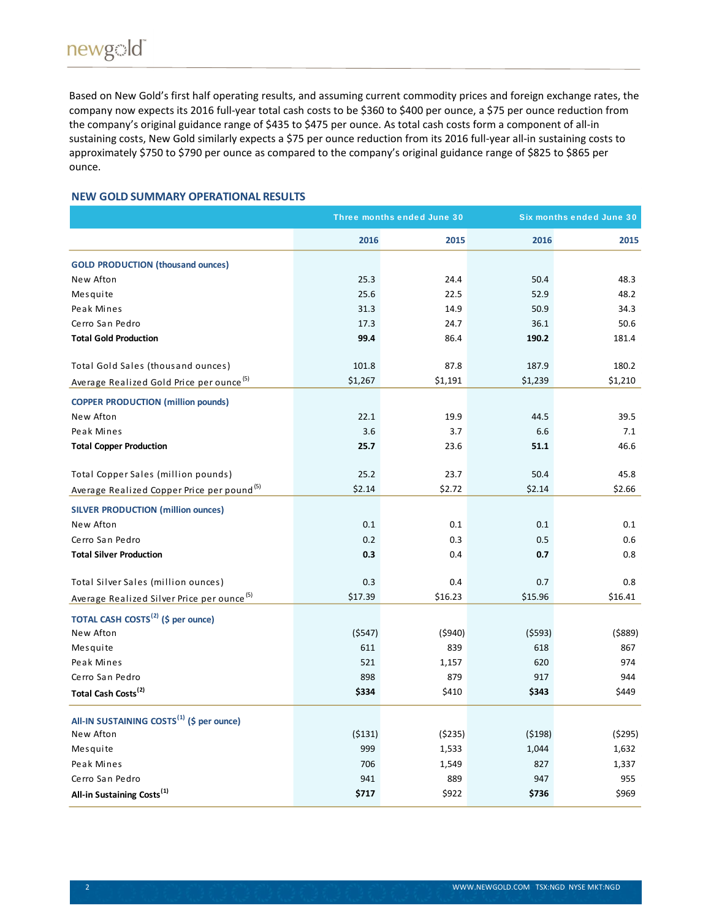Based on New Gold's first half operating results, and assuming current commodity prices and foreign exchange rates, the company now expects its 2016 full-year total cash costs to be \$360 to \$400 per ounce, a \$75 per ounce reduction from the company's original guidance range of \$435 to \$475 per ounce. As total cash costs form a component of all-in sustaining costs, New Gold similarly expects a \$75 per ounce reduction from its 2016 full-year all-in sustaining costs to approximately \$750 to \$790 per ounce as compared to the company's original guidance range of \$825 to \$865 per ounce.

#### **NEW GOLD SUMMARY OPERATIONAL RESULTS**

|                                                        |         | Three months ended June 30 | <b>Six months ended June 30</b> |         |  |
|--------------------------------------------------------|---------|----------------------------|---------------------------------|---------|--|
|                                                        | 2016    | 2015                       | 2016                            | 2015    |  |
| <b>GOLD PRODUCTION (thousand ounces)</b>               |         |                            |                                 |         |  |
| New Afton                                              | 25.3    | 24.4                       | 50.4                            | 48.3    |  |
| Mesquite                                               | 25.6    | 22.5                       | 52.9                            | 48.2    |  |
| Peak Mines                                             | 31.3    | 14.9                       | 50.9                            | 34.3    |  |
| Cerro San Pedro                                        | 17.3    | 24.7                       | 36.1                            | 50.6    |  |
| <b>Total Gold Production</b>                           | 99.4    | 86.4                       | 190.2                           | 181.4   |  |
| Total Gold Sales (thousand ounces)                     | 101.8   | 87.8                       | 187.9                           | 180.2   |  |
| Average Realized Gold Price per ounce <sup>(5)</sup>   | \$1,267 | \$1,191                    | \$1,239                         | \$1,210 |  |
| <b>COPPER PRODUCTION (million pounds)</b>              |         |                            |                                 |         |  |
| New Afton                                              | 22.1    | 19.9                       | 44.5                            | 39.5    |  |
| Peak Mines                                             | 3.6     | 3.7                        | 6.6                             | 7.1     |  |
| <b>Total Copper Production</b>                         | 25.7    | 23.6                       | 51.1                            | 46.6    |  |
| Total Copper Sales (million pounds)                    | 25.2    | 23.7                       | 50.4                            | 45.8    |  |
| Average Realized Copper Price per pound <sup>(5)</sup> | \$2.14  | \$2.72                     | \$2.14                          | \$2.66  |  |
| <b>SILVER PRODUCTION (million ounces)</b>              |         |                            |                                 |         |  |
| New Afton                                              | 0.1     | 0.1                        | 0.1                             | 0.1     |  |
| Cerro San Pedro                                        | 0.2     | 0.3                        | 0.5                             | 0.6     |  |
| <b>Total Silver Production</b>                         | 0.3     | 0.4                        | 0.7                             | 0.8     |  |
| Total Silver Sales (million ounces)                    | 0.3     | 0.4                        | 0.7                             | 0.8     |  |
| Average Realized Silver Price per ounce <sup>(5)</sup> | \$17.39 | \$16.23                    | \$15.96                         | \$16.41 |  |
| TOTAL CASH COSTS <sup>(2)</sup> (\$ per ounce)         |         |                            |                                 |         |  |
| New Afton                                              | (5547)  | (5940)                     | (5593)                          | (5889)  |  |
| Mesquite                                               | 611     | 839                        | 618                             | 867     |  |
| Peak Mines                                             | 521     | 1,157                      | 620                             | 974     |  |
| Cerro San Pedro                                        | 898     | 879                        | 917                             | 944     |  |
| Total Cash Costs <sup>(2)</sup>                        | \$334   | \$410                      | \$343                           | \$449   |  |
| All-IN SUSTAINING COSTS <sup>(1)</sup> (\$ per ounce)  |         |                            |                                 |         |  |
| New Afton                                              | (5131)  | (\$235)                    | (5198)                          | (5295)  |  |
| Mesquite                                               | 999     | 1,533                      | 1,044                           | 1,632   |  |
| Peak Mines                                             | 706     | 1,549                      | 827                             | 1,337   |  |
| Cerro San Pedro                                        | 941     | 889                        | 947                             | 955     |  |
| All-in Sustaining Costs <sup>(1)</sup>                 | \$717   | \$922                      | \$736                           | \$969   |  |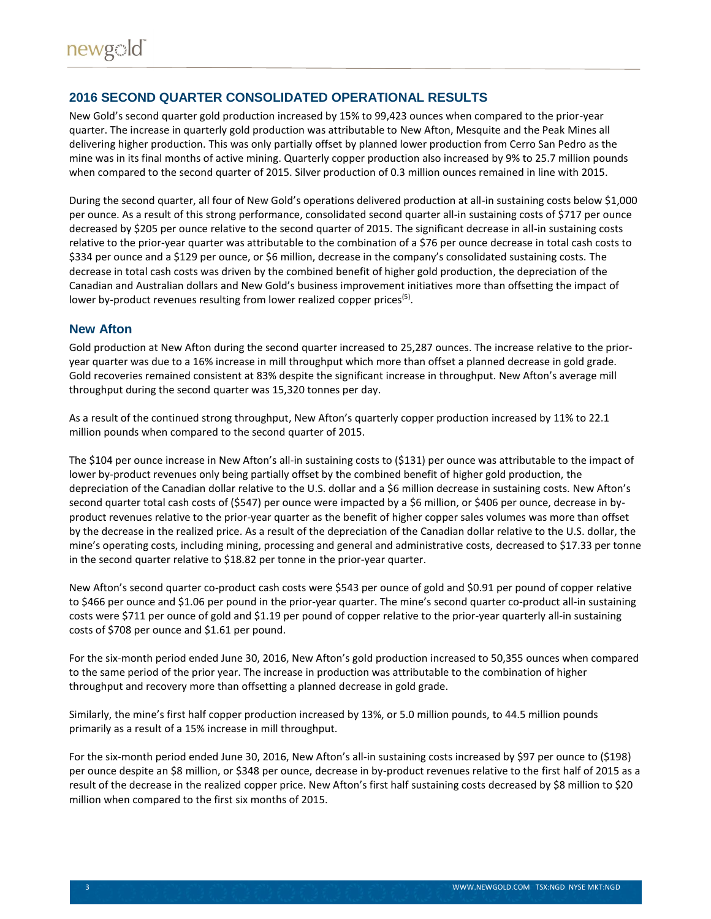# **2016 SECOND QUARTER CONSOLIDATED OPERATIONAL RESULTS**

New Gold's second quarter gold production increased by 15% to 99,423 ounces when compared to the prior-year quarter. The increase in quarterly gold production was attributable to New Afton, Mesquite and the Peak Mines all delivering higher production. This was only partially offset by planned lower production from Cerro San Pedro as the mine was in its final months of active mining. Quarterly copper production also increased by 9% to 25.7 million pounds when compared to the second quarter of 2015. Silver production of 0.3 million ounces remained in line with 2015.

During the second quarter, all four of New Gold's operations delivered production at all-in sustaining costs below \$1,000 per ounce. As a result of this strong performance, consolidated second quarter all-in sustaining costs of \$717 per ounce decreased by \$205 per ounce relative to the second quarter of 2015. The significant decrease in all-in sustaining costs relative to the prior-year quarter was attributable to the combination of a \$76 per ounce decrease in total cash costs to \$334 per ounce and a \$129 per ounce, or \$6 million, decrease in the company's consolidated sustaining costs. The decrease in total cash costs was driven by the combined benefit of higher gold production, the depreciation of the Canadian and Australian dollars and New Gold's business improvement initiatives more than offsetting the impact of lower by-product revenues resulting from lower realized copper prices<sup>(5)</sup>.

#### **New Afton**

Gold production at New Afton during the second quarter increased to 25,287 ounces. The increase relative to the prioryear quarter was due to a 16% increase in mill throughput which more than offset a planned decrease in gold grade. Gold recoveries remained consistent at 83% despite the significant increase in throughput. New Afton's average mill throughput during the second quarter was 15,320 tonnes per day.

As a result of the continued strong throughput, New Afton's quarterly copper production increased by 11% to 22.1 million pounds when compared to the second quarter of 2015.

The \$104 per ounce increase in New Afton's all-in sustaining costs to (\$131) per ounce was attributable to the impact of lower by-product revenues only being partially offset by the combined benefit of higher gold production, the depreciation of the Canadian dollar relative to the U.S. dollar and a \$6 million decrease in sustaining costs. New Afton's second quarter total cash costs of (\$547) per ounce were impacted by a \$6 million, or \$406 per ounce, decrease in byproduct revenues relative to the prior-year quarter as the benefit of higher copper sales volumes was more than offset by the decrease in the realized price. As a result of the depreciation of the Canadian dollar relative to the U.S. dollar, the mine's operating costs, including mining, processing and general and administrative costs, decreased to \$17.33 per tonne in the second quarter relative to \$18.82 per tonne in the prior-year quarter.

New Afton's second quarter co-product cash costs were \$543 per ounce of gold and \$0.91 per pound of copper relative to \$466 per ounce and \$1.06 per pound in the prior-year quarter. The mine's second quarter co-product all-in sustaining costs were \$711 per ounce of gold and \$1.19 per pound of copper relative to the prior-year quarterly all-in sustaining costs of \$708 per ounce and \$1.61 per pound.

For the six-month period ended June 30, 2016, New Afton's gold production increased to 50,355 ounces when compared to the same period of the prior year. The increase in production was attributable to the combination of higher throughput and recovery more than offsetting a planned decrease in gold grade.

Similarly, the mine's first half copper production increased by 13%, or 5.0 million pounds, to 44.5 million pounds primarily as a result of a 15% increase in mill throughput.

For the six-month period ended June 30, 2016, New Afton's all-in sustaining costs increased by \$97 per ounce to (\$198) per ounce despite an \$8 million, or \$348 per ounce, decrease in by-product revenues relative to the first half of 2015 as a result of the decrease in the realized copper price. New Afton's first half sustaining costs decreased by \$8 million to \$20 million when compared to the first six months of 2015.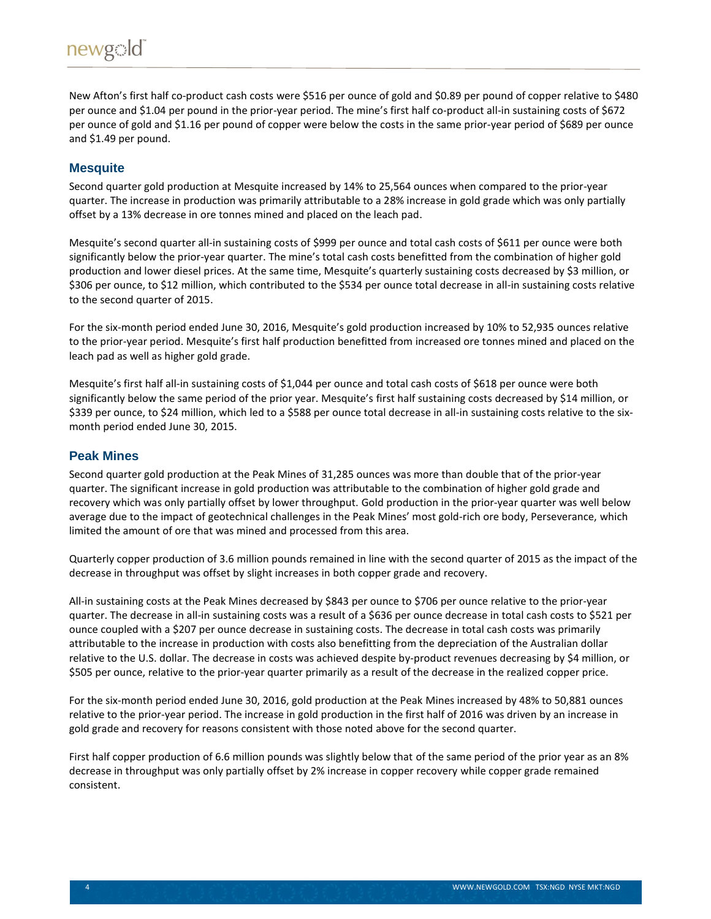New Afton's first half co-product cash costs were \$516 per ounce of gold and \$0.89 per pound of copper relative to \$480 per ounce and \$1.04 per pound in the prior-year period. The mine's first half co-product all-in sustaining costs of \$672 per ounce of gold and \$1.16 per pound of copper were below the costs in the same prior-year period of \$689 per ounce and \$1.49 per pound.

### **Mesquite**

Second quarter gold production at Mesquite increased by 14% to 25,564 ounces when compared to the prior-year quarter. The increase in production was primarily attributable to a 28% increase in gold grade which was only partially offset by a 13% decrease in ore tonnes mined and placed on the leach pad.

Mesquite's second quarter all-in sustaining costs of \$999 per ounce and total cash costs of \$611 per ounce were both significantly below the prior-year quarter. The mine's total cash costs benefitted from the combination of higher gold production and lower diesel prices. At the same time, Mesquite's quarterly sustaining costs decreased by \$3 million, or \$306 per ounce, to \$12 million, which contributed to the \$534 per ounce total decrease in all-in sustaining costs relative to the second quarter of 2015.

For the six-month period ended June 30, 2016, Mesquite's gold production increased by 10% to 52,935 ounces relative to the prior-year period. Mesquite's first half production benefitted from increased ore tonnes mined and placed on the leach pad as well as higher gold grade.

Mesquite's first half all-in sustaining costs of \$1,044 per ounce and total cash costs of \$618 per ounce were both significantly below the same period of the prior year. Mesquite's first half sustaining costs decreased by \$14 million, or \$339 per ounce, to \$24 million, which led to a \$588 per ounce total decrease in all-in sustaining costs relative to the sixmonth period ended June 30, 2015.

### **Peak Mines**

Second quarter gold production at the Peak Mines of 31,285 ounces was more than double that of the prior-year quarter. The significant increase in gold production was attributable to the combination of higher gold grade and recovery which was only partially offset by lower throughput. Gold production in the prior-year quarter was well below average due to the impact of geotechnical challenges in the Peak Mines' most gold-rich ore body, Perseverance, which limited the amount of ore that was mined and processed from this area.

Quarterly copper production of 3.6 million pounds remained in line with the second quarter of 2015 as the impact of the decrease in throughput was offset by slight increases in both copper grade and recovery.

All-in sustaining costs at the Peak Mines decreased by \$843 per ounce to \$706 per ounce relative to the prior-year quarter. The decrease in all-in sustaining costs was a result of a \$636 per ounce decrease in total cash costs to \$521 per ounce coupled with a \$207 per ounce decrease in sustaining costs. The decrease in total cash costs was primarily attributable to the increase in production with costs also benefitting from the depreciation of the Australian dollar relative to the U.S. dollar. The decrease in costs was achieved despite by-product revenues decreasing by \$4 million, or \$505 per ounce, relative to the prior-year quarter primarily as a result of the decrease in the realized copper price.

For the six-month period ended June 30, 2016, gold production at the Peak Mines increased by 48% to 50,881 ounces relative to the prior-year period. The increase in gold production in the first half of 2016 was driven by an increase in gold grade and recovery for reasons consistent with those noted above for the second quarter.

First half copper production of 6.6 million pounds was slightly below that of the same period of the prior year as an 8% decrease in throughput was only partially offset by 2% increase in copper recovery while copper grade remained consistent.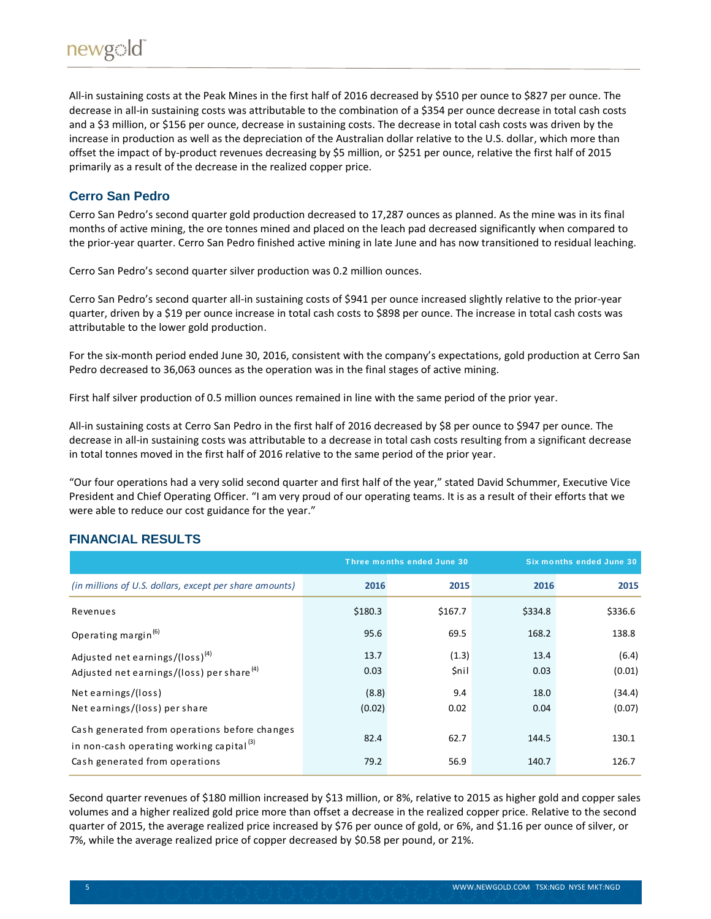All-in sustaining costs at the Peak Mines in the first half of 2016 decreased by \$510 per ounce to \$827 per ounce. The decrease in all-in sustaining costs was attributable to the combination of a \$354 per ounce decrease in total cash costs and a \$3 million, or \$156 per ounce, decrease in sustaining costs. The decrease in total cash costs was driven by the increase in production as well as the depreciation of the Australian dollar relative to the U.S. dollar, which more than offset the impact of by-product revenues decreasing by \$5 million, or \$251 per ounce, relative the first half of 2015 primarily as a result of the decrease in the realized copper price.

# **Cerro San Pedro**

Cerro San Pedro's second quarter gold production decreased to 17,287 ounces as planned. As the mine was in its final months of active mining, the ore tonnes mined and placed on the leach pad decreased significantly when compared to the prior-year quarter. Cerro San Pedro finished active mining in late June and has now transitioned to residual leaching.

Cerro San Pedro's second quarter silver production was 0.2 million ounces.

Cerro San Pedro's second quarter all-in sustaining costs of \$941 per ounce increased slightly relative to the prior-year quarter, driven by a \$19 per ounce increase in total cash costs to \$898 per ounce. The increase in total cash costs was attributable to the lower gold production.

For the six-month period ended June 30, 2016, consistent with the company's expectations, gold production at Cerro San Pedro decreased to 36,063 ounces as the operation was in the final stages of active mining.

First half silver production of 0.5 million ounces remained in line with the same period of the prior year.

All-in sustaining costs at Cerro San Pedro in the first half of 2016 decreased by \$8 per ounce to \$947 per ounce. The decrease in all-in sustaining costs was attributable to a decrease in total cash costs resulting from a significant decrease in total tonnes moved in the first half of 2016 relative to the same period of the prior year.

"Our four operations had a very solid second quarter and first half of the year," stated David Schummer, Executive Vice President and Chief Operating Officer. "I am very proud of our operating teams. It is as a result of their efforts that we were able to reduce our cost guidance for the year."

# **FINANCIAL RESULTS**

|                                                                                                       |                 | Three months ended June 30 | Six months ended June 30 |                  |
|-------------------------------------------------------------------------------------------------------|-----------------|----------------------------|--------------------------|------------------|
| (in millions of U.S. dollars, except per share amounts)                                               | 2016            | 2015                       | 2016                     | 2015             |
| Revenues                                                                                              | \$180.3         | \$167.7                    | \$334.8                  | \$336.6          |
| Operating margin <sup>(6)</sup>                                                                       | 95.6            | 69.5                       | 168.2                    | 138.8            |
| Adjusted net earnings/(loss) <sup>(4)</sup><br>Adjusted net earnings/(loss) per share <sup>(4)</sup>  | 13.7<br>0.03    | (1.3)<br><b>Snil</b>       | 13.4<br>0.03             | (6.4)<br>(0.01)  |
| Net earnings/(loss)<br>Net earnings/(loss) per share                                                  | (8.8)<br>(0.02) | 9.4<br>0.02                | 18.0<br>0.04             | (34.4)<br>(0.07) |
| Cash generated from operations before changes<br>in non-cash operating working capital <sup>(3)</sup> | 82.4            | 62.7                       | 144.5                    | 130.1            |
| Cash generated from operations                                                                        | 79.2            | 56.9                       | 140.7                    | 126.7            |

Second quarter revenues of \$180 million increased by \$13 million, or 8%, relative to 2015 as higher gold and copper sales volumes and a higher realized gold price more than offset a decrease in the realized copper price. Relative to the second quarter of 2015, the average realized price increased by \$76 per ounce of gold, or 6%, and \$1.16 per ounce of silver, or 7%, while the average realized price of copper decreased by \$0.58 per pound, or 21%.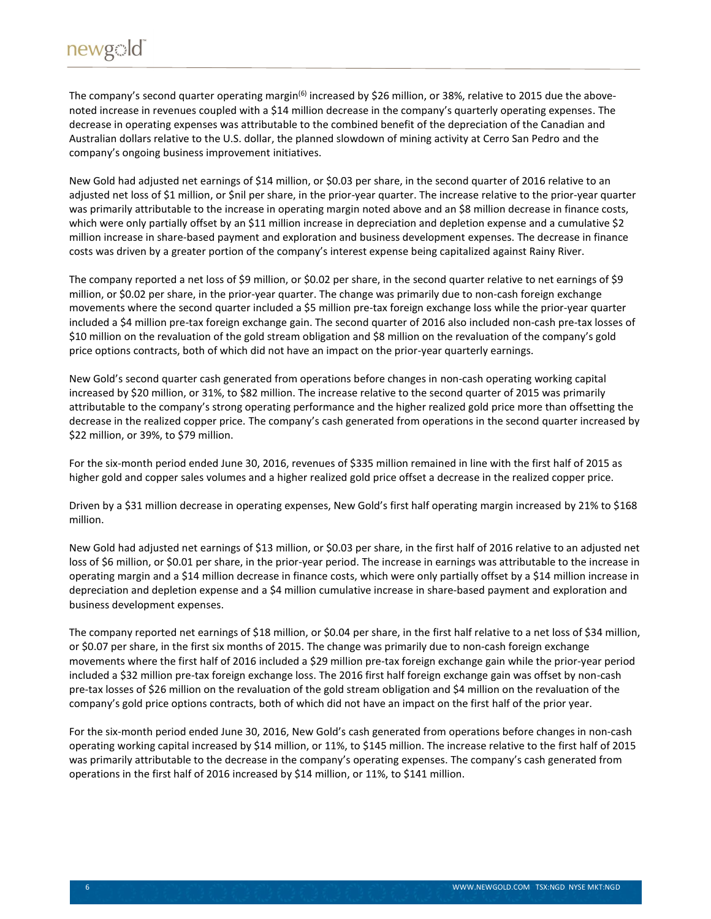The company's second quarter operating margin<sup>(6)</sup> increased by \$26 million, or 38%, relative to 2015 due the abovenoted increase in revenues coupled with a \$14 million decrease in the company's quarterly operating expenses. The decrease in operating expenses was attributable to the combined benefit of the depreciation of the Canadian and Australian dollars relative to the U.S. dollar, the planned slowdown of mining activity at Cerro San Pedro and the company's ongoing business improvement initiatives.

New Gold had adjusted net earnings of \$14 million, or \$0.03 per share, in the second quarter of 2016 relative to an adjusted net loss of \$1 million, or \$nil per share, in the prior-year quarter. The increase relative to the prior-year quarter was primarily attributable to the increase in operating margin noted above and an \$8 million decrease in finance costs, which were only partially offset by an \$11 million increase in depreciation and depletion expense and a cumulative \$2 million increase in share-based payment and exploration and business development expenses. The decrease in finance costs was driven by a greater portion of the company's interest expense being capitalized against Rainy River.

The company reported a net loss of \$9 million, or \$0.02 per share, in the second quarter relative to net earnings of \$9 million, or \$0.02 per share, in the prior-year quarter. The change was primarily due to non-cash foreign exchange movements where the second quarter included a \$5 million pre-tax foreign exchange loss while the prior-year quarter included a \$4 million pre-tax foreign exchange gain. The second quarter of 2016 also included non-cash pre-tax losses of \$10 million on the revaluation of the gold stream obligation and \$8 million on the revaluation of the company's gold price options contracts, both of which did not have an impact on the prior-year quarterly earnings.

New Gold's second quarter cash generated from operations before changes in non-cash operating working capital increased by \$20 million, or 31%, to \$82 million. The increase relative to the second quarter of 2015 was primarily attributable to the company's strong operating performance and the higher realized gold price more than offsetting the decrease in the realized copper price. The company's cash generated from operations in the second quarter increased by \$22 million, or 39%, to \$79 million.

For the six-month period ended June 30, 2016, revenues of \$335 million remained in line with the first half of 2015 as higher gold and copper sales volumes and a higher realized gold price offset a decrease in the realized copper price.

Driven by a \$31 million decrease in operating expenses, New Gold's first half operating margin increased by 21% to \$168 million.

New Gold had adjusted net earnings of \$13 million, or \$0.03 per share, in the first half of 2016 relative to an adjusted net loss of \$6 million, or \$0.01 per share, in the prior-year period. The increase in earnings was attributable to the increase in operating margin and a \$14 million decrease in finance costs, which were only partially offset by a \$14 million increase in depreciation and depletion expense and a \$4 million cumulative increase in share-based payment and exploration and business development expenses.

The company reported net earnings of \$18 million, or \$0.04 per share, in the first half relative to a net loss of \$34 million, or \$0.07 per share, in the first six months of 2015. The change was primarily due to non-cash foreign exchange movements where the first half of 2016 included a \$29 million pre-tax foreign exchange gain while the prior-year period included a \$32 million pre-tax foreign exchange loss. The 2016 first half foreign exchange gain was offset by non-cash pre-tax losses of \$26 million on the revaluation of the gold stream obligation and \$4 million on the revaluation of the company's gold price options contracts, both of which did not have an impact on the first half of the prior year.

For the six-month period ended June 30, 2016, New Gold's cash generated from operations before changes in non-cash operating working capital increased by \$14 million, or 11%, to \$145 million. The increase relative to the first half of 2015 was primarily attributable to the decrease in the company's operating expenses. The company's cash generated from operations in the first half of 2016 increased by \$14 million, or 11%, to \$141 million.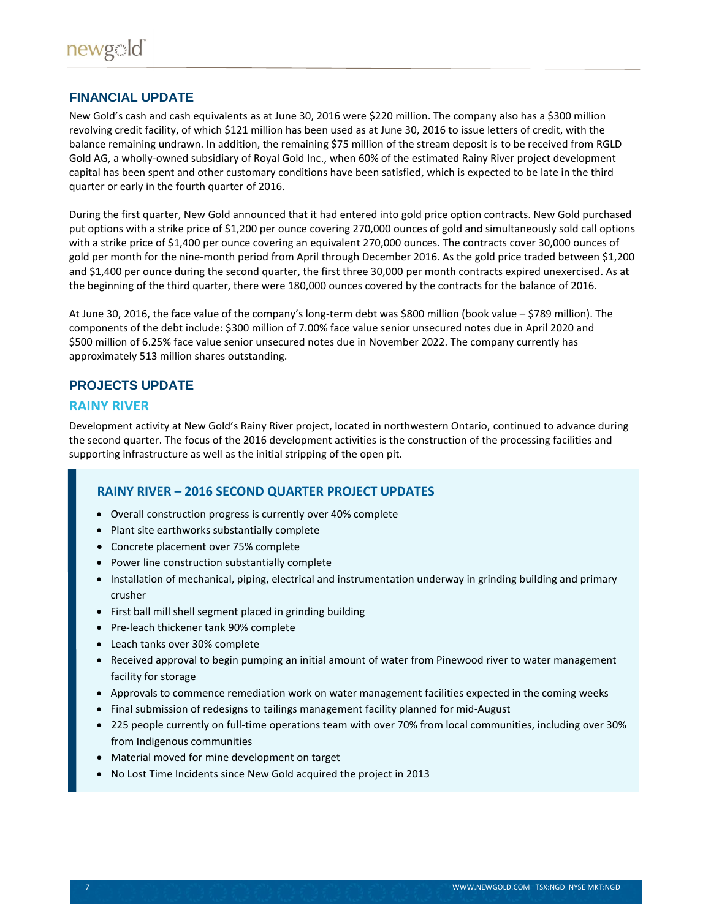### **FINANCIAL UPDATE**

New Gold's cash and cash equivalents as at June 30, 2016 were \$220 million. The company also has a \$300 million revolving credit facility, of which \$121 million has been used as at June 30, 2016 to issue letters of credit, with the balance remaining undrawn. In addition, the remaining \$75 million of the stream deposit is to be received from RGLD Gold AG, a wholly-owned subsidiary of Royal Gold Inc., when 60% of the estimated Rainy River project development capital has been spent and other customary conditions have been satisfied, which is expected to be late in the third quarter or early in the fourth quarter of 2016.

During the first quarter, New Gold announced that it had entered into gold price option contracts. New Gold purchased put options with a strike price of \$1,200 per ounce covering 270,000 ounces of gold and simultaneously sold call options with a strike price of \$1,400 per ounce covering an equivalent 270,000 ounces. The contracts cover 30,000 ounces of gold per month for the nine-month period from April through December 2016. As the gold price traded between \$1,200 and \$1,400 per ounce during the second quarter, the first three 30,000 per month contracts expired unexercised. As at the beginning of the third quarter, there were 180,000 ounces covered by the contracts for the balance of 2016.

At June 30, 2016, the face value of the company's long-term debt was \$800 million (book value – \$789 million). The components of the debt include: \$300 million of 7.00% face value senior unsecured notes due in April 2020 and \$500 million of 6.25% face value senior unsecured notes due in November 2022. The company currently has approximately 513 million shares outstanding.

### **PROJECTS UPDATE**

### **RAINY RIVER**

Development activity at New Gold's Rainy River project, located in northwestern Ontario, continued to advance during the second quarter. The focus of the 2016 development activities is the construction of the processing facilities and supporting infrastructure as well as the initial stripping of the open pit.

### **RAINY RIVER – 2016 SECOND QUARTER PROJECT UPDATES**

- Overall construction progress is currently over 40% complete
- Plant site earthworks substantially complete
- Concrete placement over 75% complete
- Power line construction substantially complete
- Installation of mechanical, piping, electrical and instrumentation underway in grinding building and primary crusher
- First ball mill shell segment placed in grinding building
- Pre-leach thickener tank 90% complete
- Leach tanks over 30% complete
- Received approval to begin pumping an initial amount of water from Pinewood river to water management facility for storage
- Approvals to commence remediation work on water management facilities expected in the coming weeks
- Final submission of redesigns to tailings management facility planned for mid-August
- 225 people currently on full-time operations team with over 70% from local communities, including over 30% from Indigenous communities
- Material moved for mine development on target
- No Lost Time Incidents since New Gold acquired the project in 2013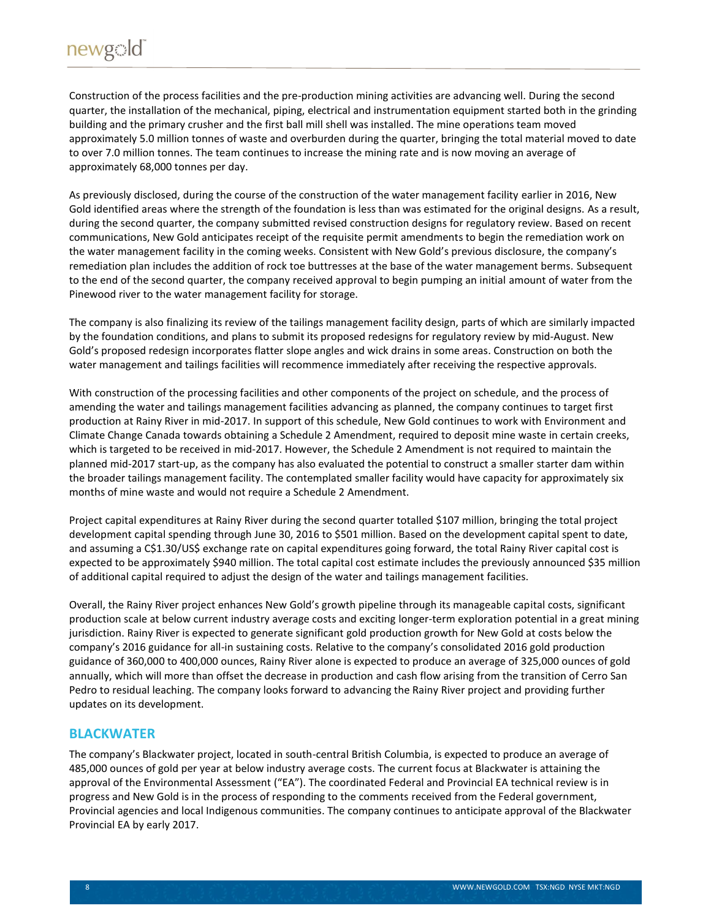Construction of the process facilities and the pre-production mining activities are advancing well. During the second quarter, the installation of the mechanical, piping, electrical and instrumentation equipment started both in the grinding building and the primary crusher and the first ball mill shell was installed. The mine operations team moved approximately 5.0 million tonnes of waste and overburden during the quarter, bringing the total material moved to date to over 7.0 million tonnes. The team continues to increase the mining rate and is now moving an average of approximately 68,000 tonnes per day.

As previously disclosed, during the course of the construction of the water management facility earlier in 2016, New Gold identified areas where the strength of the foundation is less than was estimated for the original designs. As a result, during the second quarter, the company submitted revised construction designs for regulatory review. Based on recent communications, New Gold anticipates receipt of the requisite permit amendments to begin the remediation work on the water management facility in the coming weeks. Consistent with New Gold's previous disclosure, the company's remediation plan includes the addition of rock toe buttresses at the base of the water management berms. Subsequent to the end of the second quarter, the company received approval to begin pumping an initial amount of water from the Pinewood river to the water management facility for storage.

The company is also finalizing its review of the tailings management facility design, parts of which are similarly impacted by the foundation conditions, and plans to submit its proposed redesigns for regulatory review by mid-August. New Gold's proposed redesign incorporates flatter slope angles and wick drains in some areas. Construction on both the water management and tailings facilities will recommence immediately after receiving the respective approvals.

With construction of the processing facilities and other components of the project on schedule, and the process of amending the water and tailings management facilities advancing as planned, the company continues to target first production at Rainy River in mid-2017. In support of this schedule, New Gold continues to work with Environment and Climate Change Canada towards obtaining a Schedule 2 Amendment, required to deposit mine waste in certain creeks, which is targeted to be received in mid-2017. However, the Schedule 2 Amendment is not required to maintain the planned mid-2017 start-up, as the company has also evaluated the potential to construct a smaller starter dam within the broader tailings management facility. The contemplated smaller facility would have capacity for approximately six months of mine waste and would not require a Schedule 2 Amendment.

Project capital expenditures at Rainy River during the second quarter totalled \$107 million, bringing the total project development capital spending through June 30, 2016 to \$501 million. Based on the development capital spent to date, and assuming a C\$1.30/US\$ exchange rate on capital expenditures going forward, the total Rainy River capital cost is expected to be approximately \$940 million. The total capital cost estimate includes the previously announced \$35 million of additional capital required to adjust the design of the water and tailings management facilities.

Overall, the Rainy River project enhances New Gold's growth pipeline through its manageable capital costs, significant production scale at below current industry average costs and exciting longer-term exploration potential in a great mining jurisdiction. Rainy River is expected to generate significant gold production growth for New Gold at costs below the company's 2016 guidance for all-in sustaining costs. Relative to the company's consolidated 2016 gold production guidance of 360,000 to 400,000 ounces, Rainy River alone is expected to produce an average of 325,000 ounces of gold annually, which will more than offset the decrease in production and cash flow arising from the transition of Cerro San Pedro to residual leaching. The company looks forward to advancing the Rainy River project and providing further updates on its development.

# **BLACKWATER**

The company's Blackwater project, located in south-central British Columbia, is expected to produce an average of 485,000 ounces of gold per year at below industry average costs. The current focus at Blackwater is attaining the approval of the Environmental Assessment ("EA"). The coordinated Federal and Provincial EA technical review is in progress and New Gold is in the process of responding to the comments received from the Federal government, Provincial agencies and local Indigenous communities. The company continues to anticipate approval of the Blackwater Provincial EA by early 2017.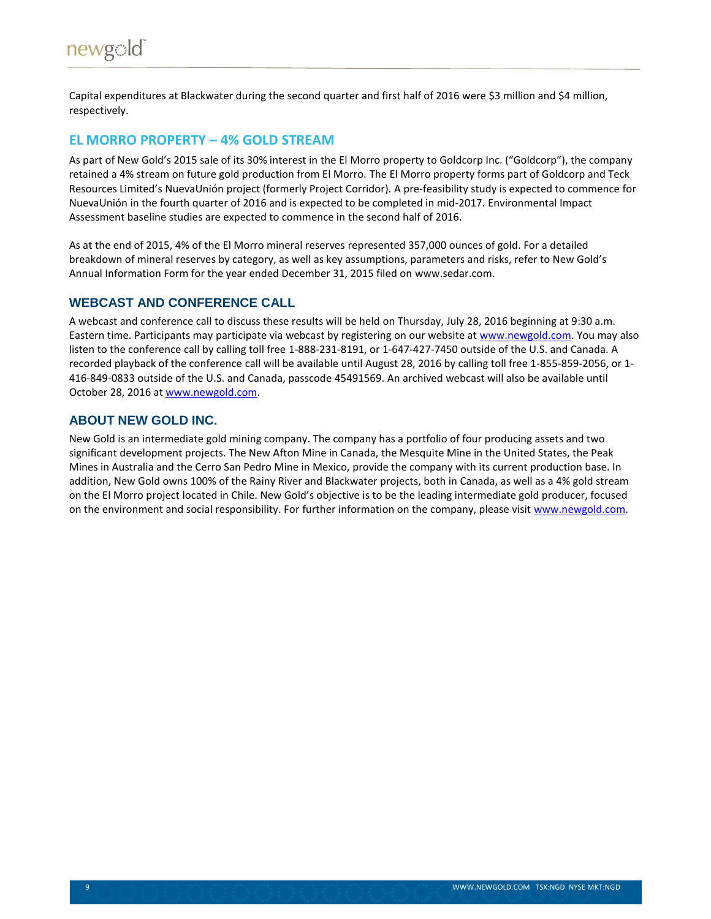Capital expenditures at Blackwater during the second quarter and first half of 2016 were \$3 million and \$4 million, respectively.

# **EL MORRO PROPERTY – 4% GOLD STREAM**

As part of New Gold's 2015 sale of its 30% interest in the El Morro property to Goldcorp Inc. ("Goldcorp"), the company retained a 4% stream on future gold production from El Morro. The El Morro property forms part of Goldcorp and Teck Resources Limited's NuevaUnión project (formerly Project Corridor). A pre-feasibility study is expected to commence for NuevaUnión in the fourth quarter of 2016 and is expected to be completed in mid-2017. Environmental Impact Assessment baseline studies are expected to commence in the second half of 2016.

As at the end of 2015, 4% of the El Morro mineral reserves represented 357,000 ounces of gold. For a detailed breakdown of mineral reserves by category, as well as key assumptions, parameters and risks, refer to New Gold's Annual Information Form for the year ended December 31, 2015 filed on www.sedar.com.

### **WEBCAST AND CONFERENCE CALL**

A webcast and conference call to discuss these results will be held on Thursday, July 28, 2016 beginning at 9:30 a.m. Eastern time. Participants may participate via webcast by registering on our website at [www.newgold.com.](http://www.newgold.com/) You may also listen to the conference call by calling toll free 1-888-231-8191, or 1-647-427-7450 outside of the U.S. and Canada. A recorded playback of the conference call will be available until August 28, 2016 by calling toll free 1-855-859-2056, or 1- 416-849-0833 outside of the U.S. and Canada, passcode 45491569. An archived webcast will also be available until October 28, 2016 at [www.newgold.com.](http://www.newgold.com/)

# **ABOUT NEW GOLD INC.**

New Gold is an intermediate gold mining company. The company has a portfolio of four producing assets and two significant development projects. The New Afton Mine in Canada, the Mesquite Mine in the United States, the Peak Mines in Australia and the Cerro San Pedro Mine in Mexico, provide the company with its current production base. In addition, New Gold owns 100% of the Rainy River and Blackwater projects, both in Canada, as well as a 4% gold stream on the El Morro project located in Chile. New Gold's objective is to be the leading intermediate gold producer, focused on the environment and social responsibility. For further information on the company, please visit [www.newgold.com.](http://www.newgold.com/)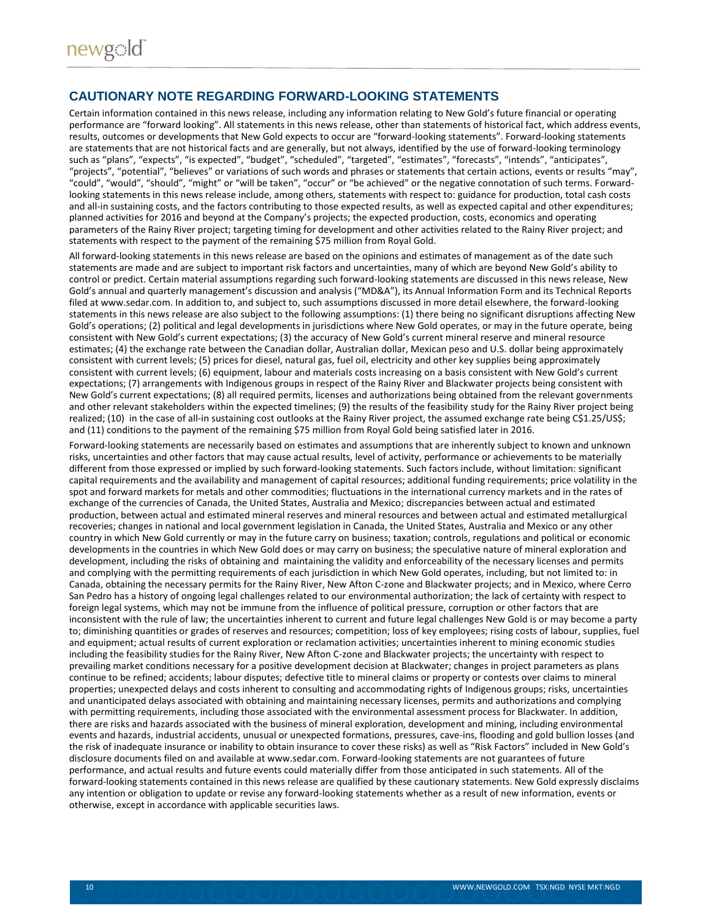### **CAUTIONARY NOTE REGARDING FORWARD-LOOKING STATEMENTS**

Certain information contained in this news release, including any information relating to New Gold's future financial or operating performance are "forward looking". All statements in this news release, other than statements of historical fact, which address events, results, outcomes or developments that New Gold expects to occur are "forward-looking statements". Forward-looking statements are statements that are not historical facts and are generally, but not always, identified by the use of forward-looking terminology such as "plans", "expects", "is expected", "budget", "scheduled", "targeted", "estimates", "forecasts", "intends", "anticipates", "projects", "potential", "believes" or variations of such words and phrases or statements that certain actions, events or results "may", "could", "would", "should", "might" or "will be taken", "occur" or "be achieved" or the negative connotation of such terms. Forwardlooking statements in this news release include, among others, statements with respect to: guidance for production, total cash costs and all-in sustaining costs, and the factors contributing to those expected results, as well as expected capital and other expenditures; planned activities for 2016 and beyond at the Company's projects; the expected production, costs, economics and operating parameters of the Rainy River project; targeting timing for development and other activities related to the Rainy River project; and statements with respect to the payment of the remaining \$75 million from Royal Gold.

All forward-looking statements in this news release are based on the opinions and estimates of management as of the date such statements are made and are subject to important risk factors and uncertainties, many of which are beyond New Gold's ability to control or predict. Certain material assumptions regarding such forward-looking statements are discussed in this news release, New Gold's annual and quarterly management's discussion and analysis ("MD&A"), its Annual Information Form and its Technical Reports filed at www.sedar.com. In addition to, and subject to, such assumptions discussed in more detail elsewhere, the forward-looking statements in this news release are also subject to the following assumptions: (1) there being no significant disruptions affecting New Gold's operations; (2) political and legal developments in jurisdictions where New Gold operates, or may in the future operate, being consistent with New Gold's current expectations; (3) the accuracy of New Gold's current mineral reserve and mineral resource estimates; (4) the exchange rate between the Canadian dollar, Australian dollar, Mexican peso and U.S. dollar being approximately consistent with current levels; (5) prices for diesel, natural gas, fuel oil, electricity and other key supplies being approximately consistent with current levels; (6) equipment, labour and materials costs increasing on a basis consistent with New Gold's current expectations; (7) arrangements with Indigenous groups in respect of the Rainy River and Blackwater projects being consistent with New Gold's current expectations; (8) all required permits, licenses and authorizations being obtained from the relevant governments and other relevant stakeholders within the expected timelines; (9) the results of the feasibility study for the Rainy River project being realized; (10) in the case of all-in sustaining cost outlooks at the Rainy River project, the assumed exchange rate being C\$1.25/US\$; and (11) conditions to the payment of the remaining \$75 million from Royal Gold being satisfied later in 2016.

Forward-looking statements are necessarily based on estimates and assumptions that are inherently subject to known and unknown risks, uncertainties and other factors that may cause actual results, level of activity, performance or achievements to be materially different from those expressed or implied by such forward-looking statements. Such factors include, without limitation: significant capital requirements and the availability and management of capital resources; additional funding requirements; price volatility in the spot and forward markets for metals and other commodities; fluctuations in the international currency markets and in the rates of exchange of the currencies of Canada, the United States, Australia and Mexico; discrepancies between actual and estimated production, between actual and estimated mineral reserves and mineral resources and between actual and estimated metallurgical recoveries; changes in national and local government legislation in Canada, the United States, Australia and Mexico or any other country in which New Gold currently or may in the future carry on business; taxation; controls, regulations and political or economic developments in the countries in which New Gold does or may carry on business; the speculative nature of mineral exploration and development, including the risks of obtaining and maintaining the validity and enforceability of the necessary licenses and permits and complying with the permitting requirements of each jurisdiction in which New Gold operates, including, but not limited to: in Canada, obtaining the necessary permits for the Rainy River, New Afton C-zone and Blackwater projects; and in Mexico, where Cerro San Pedro has a history of ongoing legal challenges related to our environmental authorization; the lack of certainty with respect to foreign legal systems, which may not be immune from the influence of political pressure, corruption or other factors that are inconsistent with the rule of law; the uncertainties inherent to current and future legal challenges New Gold is or may become a party to; diminishing quantities or grades of reserves and resources; competition; loss of key employees; rising costs of labour, supplies, fuel and equipment; actual results of current exploration or reclamation activities; uncertainties inherent to mining economic studies including the feasibility studies for the Rainy River, New Afton C-zone and Blackwater projects; the uncertainty with respect to prevailing market conditions necessary for a positive development decision at Blackwater; changes in project parameters as plans continue to be refined; accidents; labour disputes; defective title to mineral claims or property or contests over claims to mineral properties; unexpected delays and costs inherent to consulting and accommodating rights of Indigenous groups; risks, uncertainties and unanticipated delays associated with obtaining and maintaining necessary licenses, permits and authorizations and complying with permitting requirements, including those associated with the environmental assessment process for Blackwater. In addition, there are risks and hazards associated with the business of mineral exploration, development and mining, including environmental events and hazards, industrial accidents, unusual or unexpected formations, pressures, cave-ins, flooding and gold bullion losses (and the risk of inadequate insurance or inability to obtain insurance to cover these risks) as well as "Risk Factors" included in New Gold's disclosure documents filed on and available at www.sedar.com. Forward-looking statements are not guarantees of future performance, and actual results and future events could materially differ from those anticipated in such statements. All of the forward-looking statements contained in this news release are qualified by these cautionary statements. New Gold expressly disclaims any intention or obligation to update or revise any forward-looking statements whether as a result of new information, events or otherwise, except in accordance with applicable securities laws.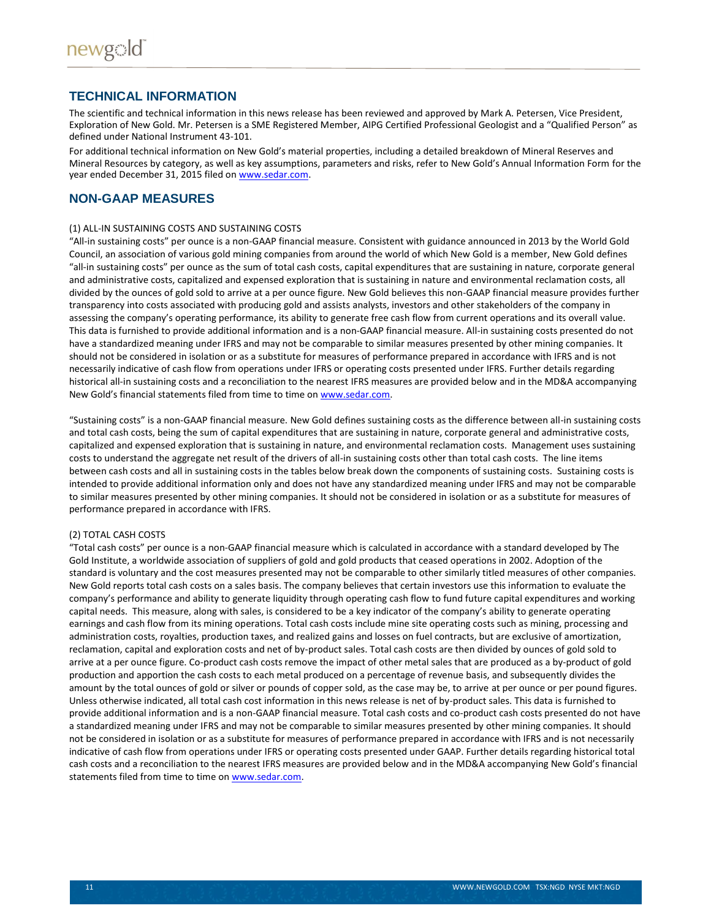### **TECHNICAL INFORMATION**

The scientific and technical information in this news release has been reviewed and approved by Mark A. Petersen, Vice President, Exploration of New Gold. Mr. Petersen is a SME Registered Member, AIPG Certified Professional Geologist and a "Qualified Person" as defined under National Instrument 43-101.

For additional technical information on New Gold's material properties, including a detailed breakdown of Mineral Reserves and Mineral Resources by category, as well as key assumptions, parameters and risks, refer to New Gold's Annual Information Form for the year ended December 31, 2015 filed on [www.sedar.com.](http://www.sedar.com/)

### **NON-GAAP MEASURES**

#### (1) ALL-IN SUSTAINING COSTS AND SUSTAINING COSTS

"All-in sustaining costs" per ounce is a non-GAAP financial measure. Consistent with guidance announced in 2013 by the World Gold Council, an association of various gold mining companies from around the world of which New Gold is a member, New Gold defines "all-in sustaining costs" per ounce as the sum of total cash costs, capital expenditures that are sustaining in nature, corporate general and administrative costs, capitalized and expensed exploration that is sustaining in nature and environmental reclamation costs, all divided by the ounces of gold sold to arrive at a per ounce figure. New Gold believes this non-GAAP financial measure provides further transparency into costs associated with producing gold and assists analysts, investors and other stakeholders of the company in assessing the company's operating performance, its ability to generate free cash flow from current operations and its overall value. This data is furnished to provide additional information and is a non-GAAP financial measure. All-in sustaining costs presented do not have a standardized meaning under IFRS and may not be comparable to similar measures presented by other mining companies. It should not be considered in isolation or as a substitute for measures of performance prepared in accordance with IFRS and is not necessarily indicative of cash flow from operations under IFRS or operating costs presented under IFRS. Further details regarding historical all-in sustaining costs and a reconciliation to the nearest IFRS measures are provided below and in the MD&A accompanying New Gold's financial statements filed from time to time o[n www.sedar.com.](http://www.sedar.com/)

"Sustaining costs" is a non-GAAP financial measure. New Gold defines sustaining costs as the difference between all-in sustaining costs and total cash costs, being the sum of capital expenditures that are sustaining in nature, corporate general and administrative costs, capitalized and expensed exploration that is sustaining in nature, and environmental reclamation costs. Management uses sustaining costs to understand the aggregate net result of the drivers of all-in sustaining costs other than total cash costs. The line items between cash costs and all in sustaining costs in the tables below break down the components of sustaining costs. Sustaining costs is intended to provide additional information only and does not have any standardized meaning under IFRS and may not be comparable to similar measures presented by other mining companies. It should not be considered in isolation or as a substitute for measures of performance prepared in accordance with IFRS.

#### (2) TOTAL CASH COSTS

"Total cash costs" per ounce is a non-GAAP financial measure which is calculated in accordance with a standard developed by The Gold Institute, a worldwide association of suppliers of gold and gold products that ceased operations in 2002. Adoption of the standard is voluntary and the cost measures presented may not be comparable to other similarly titled measures of other companies. New Gold reports total cash costs on a sales basis. The company believes that certain investors use this information to evaluate the company's performance and ability to generate liquidity through operating cash flow to fund future capital expenditures and working capital needs. This measure, along with sales, is considered to be a key indicator of the company's ability to generate operating earnings and cash flow from its mining operations. Total cash costs include mine site operating costs such as mining, processing and administration costs, royalties, production taxes, and realized gains and losses on fuel contracts, but are exclusive of amortization, reclamation, capital and exploration costs and net of by-product sales. Total cash costs are then divided by ounces of gold sold to arrive at a per ounce figure. Co-product cash costs remove the impact of other metal sales that are produced as a by-product of gold production and apportion the cash costs to each metal produced on a percentage of revenue basis, and subsequently divides the amount by the total ounces of gold or silver or pounds of copper sold, as the case may be, to arrive at per ounce or per pound figures. Unless otherwise indicated, all total cash cost information in this news release is net of by-product sales. This data is furnished to provide additional information and is a non-GAAP financial measure. Total cash costs and co-product cash costs presented do not have a standardized meaning under IFRS and may not be comparable to similar measures presented by other mining companies. It should not be considered in isolation or as a substitute for measures of performance prepared in accordance with IFRS and is not necessarily indicative of cash flow from operations under IFRS or operating costs presented under GAAP. Further details regarding historical total cash costs and a reconciliation to the nearest IFRS measures are provided below and in the MD&A accompanying New Gold's financial statements filed from time to time o[n www.sedar.com.](http://www.sedar.com/)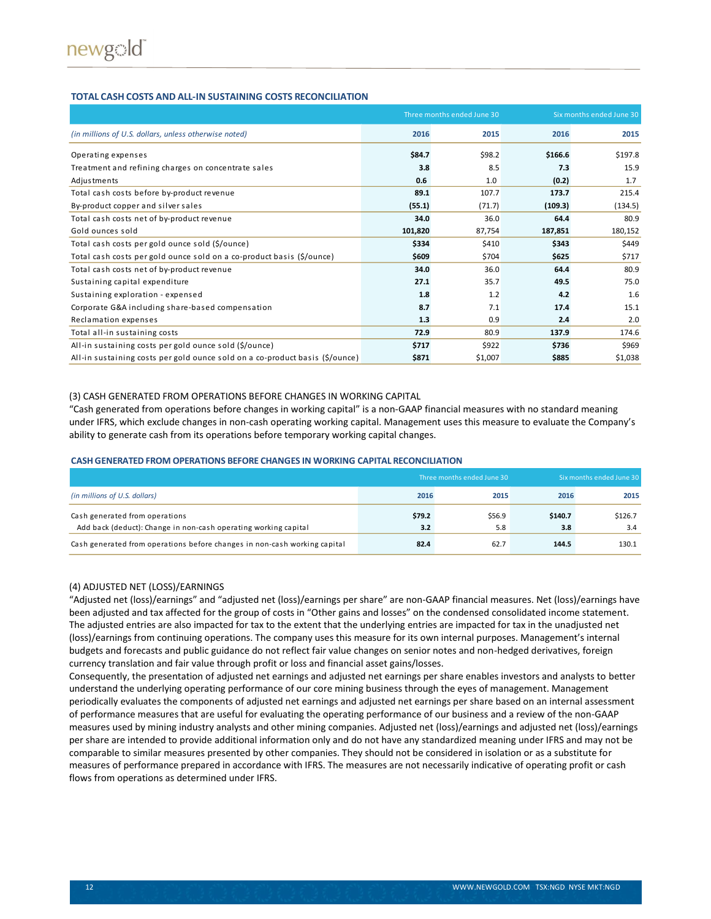#### **TOTAL CASH COSTS AND ALL-IN SUSTAINING COSTS RECONCILIATION**

|                                                                              |         | Three months ended June 30 | Six months ended June 30 |         |
|------------------------------------------------------------------------------|---------|----------------------------|--------------------------|---------|
| (in millions of U.S. dollars, unless otherwise noted)                        | 2016    | 2015                       | 2016                     | 2015    |
| Operating expenses                                                           | \$84.7  | \$98.2                     | \$166.6                  | \$197.8 |
| Treatment and refining charges on concentrate sales                          | 3.8     | 8.5                        | 7.3                      | 15.9    |
| Adjustments                                                                  | 0.6     | 1.0                        | (0.2)                    | 1.7     |
| Total cash costs before by-product revenue                                   | 89.1    | 107.7                      | 173.7                    | 215.4   |
| By-product copper and silver sales                                           | (55.1)  | (71.7)                     | (109.3)                  | (134.5) |
| Total cash costs net of by-product revenue                                   | 34.0    | 36.0                       | 64.4                     | 80.9    |
| Gold ounces sold                                                             | 101,820 | 87,754                     | 187,851                  | 180,152 |
| Total cash costs per gold ounce sold (\$/ounce)                              | \$334   | \$410                      | \$343                    | \$449   |
| Total cash costs per gold ounce sold on a co-product basis (\$/ounce)        | \$609   | \$704                      | \$625                    | \$717   |
| Total cash costs net of by-product revenue                                   | 34.0    | 36.0                       | 64.4                     | 80.9    |
| Sustaining capital expenditure                                               | 27.1    | 35.7                       | 49.5                     | 75.0    |
| Sustaining exploration - expensed                                            | 1.8     | 1.2                        | 4.2                      | 1.6     |
| Corporate G&A including share-based compensation                             | 8.7     | 7.1                        | 17.4                     | 15.1    |
| Reclamation expenses                                                         | 1.3     | 0.9                        | 2.4                      | 2.0     |
| Total all-in sustaining costs                                                | 72.9    | 80.9                       | 137.9                    | 174.6   |
| All-in sustaining costs per gold ounce sold (\$/ounce)                       | \$717   | \$922                      | \$736                    | \$969   |
| All-in sustaining costs per gold ounce sold on a co-product basis (\$/ounce) | \$871   | \$1,007                    | \$885                    | \$1,038 |

#### (3) CASH GENERATED FROM OPERATIONS BEFORE CHANGES IN WORKING CAPITAL

"Cash generated from operations before changes in working capital" is a non-GAAP financial measures with no standard meaning under IFRS, which exclude changes in non-cash operating working capital. Management uses this measure to evaluate the Company's ability to generate cash from its operations before temporary working capital changes.

#### **CASH GENERATED FROM OPERATIONS BEFORE CHANGES IN WORKING CAPITAL RECONCILIATION**

|                                                                                                   |               | Three months ended June 30 | Six months ended June 30 |                |  |
|---------------------------------------------------------------------------------------------------|---------------|----------------------------|--------------------------|----------------|--|
| (in millions of U.S. dollars)                                                                     | 2016          | 2015                       | 2016                     | 2015           |  |
| Cash generated from operations<br>Add back (deduct): Change in non-cash operating working capital | \$79.2<br>3.2 | \$56.9<br>5.8              | \$140.7<br>3.8           | \$126.7<br>3.4 |  |
| Cash generated from operations before changes in non-cash working capital                         | 82.4          | 62.7                       | 144.5                    | 130.1          |  |

#### (4) ADJUSTED NET (LOSS)/EARNINGS

"Adjusted net (loss)/earnings" and "adjusted net (loss)/earnings per share" are non-GAAP financial measures. Net (loss)/earnings have been adjusted and tax affected for the group of costs in "Other gains and losses" on the condensed consolidated income statement. The adjusted entries are also impacted for tax to the extent that the underlying entries are impacted for tax in the unadjusted net (loss)/earnings from continuing operations. The company uses this measure for its own internal purposes. Management's internal budgets and forecasts and public guidance do not reflect fair value changes on senior notes and non-hedged derivatives, foreign currency translation and fair value through profit or loss and financial asset gains/losses.

Consequently, the presentation of adjusted net earnings and adjusted net earnings per share enables investors and analysts to better understand the underlying operating performance of our core mining business through the eyes of management. Management periodically evaluates the components of adjusted net earnings and adjusted net earnings per share based on an internal assessment of performance measures that are useful for evaluating the operating performance of our business and a review of the non-GAAP measures used by mining industry analysts and other mining companies. Adjusted net (loss)/earnings and adjusted net (loss)/earnings per share are intended to provide additional information only and do not have any standardized meaning under IFRS and may not be comparable to similar measures presented by other companies. They should not be considered in isolation or as a substitute for measures of performance prepared in accordance with IFRS. The measures are not necessarily indicative of operating profit or cash flows from operations as determined under IFRS.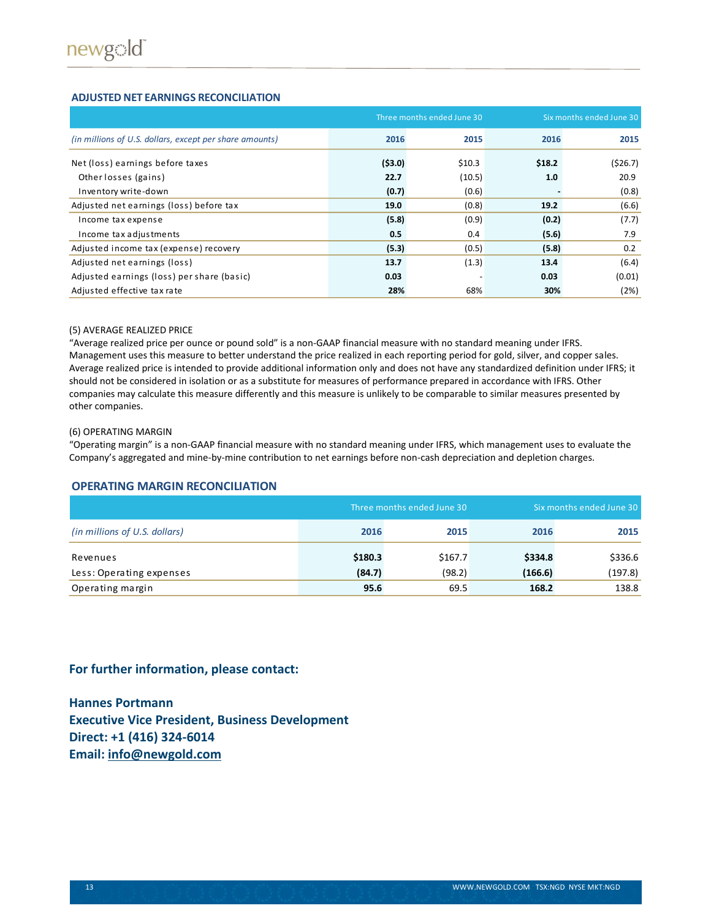#### **ADJUSTED NET EARNINGS RECONCILIATION**

|                                                         |        | Three months ended June 30 | Six months ended June 30 |         |
|---------------------------------------------------------|--------|----------------------------|--------------------------|---------|
| (in millions of U.S. dollars, except per share amounts) | 2016   | 2015                       | 2016                     | 2015    |
| Net (loss) earnings before taxes                        | (53.0) | \$10.3                     | \$18.2                   | (526.7) |
| Other losses (gains)                                    | 22.7   | (10.5)                     | 1.0                      | 20.9    |
| Inventory write-down                                    | (0.7)  | (0.6)                      |                          | (0.8)   |
| Adjusted net earnings (loss) before tax                 | 19.0   | (0.8)                      | 19.2                     | (6.6)   |
| Income tax expense                                      | (5.8)  | (0.9)                      | (0.2)                    | (7.7)   |
| Income tax adjustments                                  | 0.5    | 0.4                        | (5.6)                    | 7.9     |
| Adjusted income tax (expense) recovery                  | (5.3)  | (0.5)                      | (5.8)                    | 0.2     |
| Adjusted net earnings (loss)                            | 13.7   | (1.3)                      | 13.4                     | (6.4)   |
| Adjusted earnings (loss) per share (basic)              | 0.03   |                            | 0.03                     | (0.01)  |
| Adjusted effective tax rate                             | 28%    | 68%                        | 30%                      | (2%)    |

#### (5) AVERAGE REALIZED PRICE

"Average realized price per ounce or pound sold" is a non-GAAP financial measure with no standard meaning under IFRS. Management uses this measure to better understand the price realized in each reporting period for gold, silver, and copper sales. Average realized price is intended to provide additional information only and does not have any standardized definition under IFRS; it should not be considered in isolation or as a substitute for measures of performance prepared in accordance with IFRS. Other companies may calculate this measure differently and this measure is unlikely to be comparable to similar measures presented by other companies.

#### (6) OPERATING MARGIN

"Operating margin" is a non-GAAP financial measure with no standard meaning under IFRS, which management uses to evaluate the Company's aggregated and mine-by-mine contribution to net earnings before non-cash depreciation and depletion charges.

#### **OPERATING MARGIN RECONCILIATION**

|                               |         | Three months ended June 30 | Six months ended June 30 |         |
|-------------------------------|---------|----------------------------|--------------------------|---------|
| (in millions of U.S. dollars) | 2016    | 2015                       | 2016                     | 2015    |
| Revenues                      | \$180.3 | \$167.7                    | \$334.8                  | \$336.6 |
| Less: Operating expenses      | (84.7)  | (98.2)                     | (166.6)                  | (197.8) |
| Operating margin              | 95.6    | 69.5                       | 168.2                    | 138.8   |

### **For further information, please contact:**

**Hannes Portmann Executive Vice President, Business Development Direct: +1 (416) 324-6014 Email: [info@newgold.com](mailto:info@newgold.com)**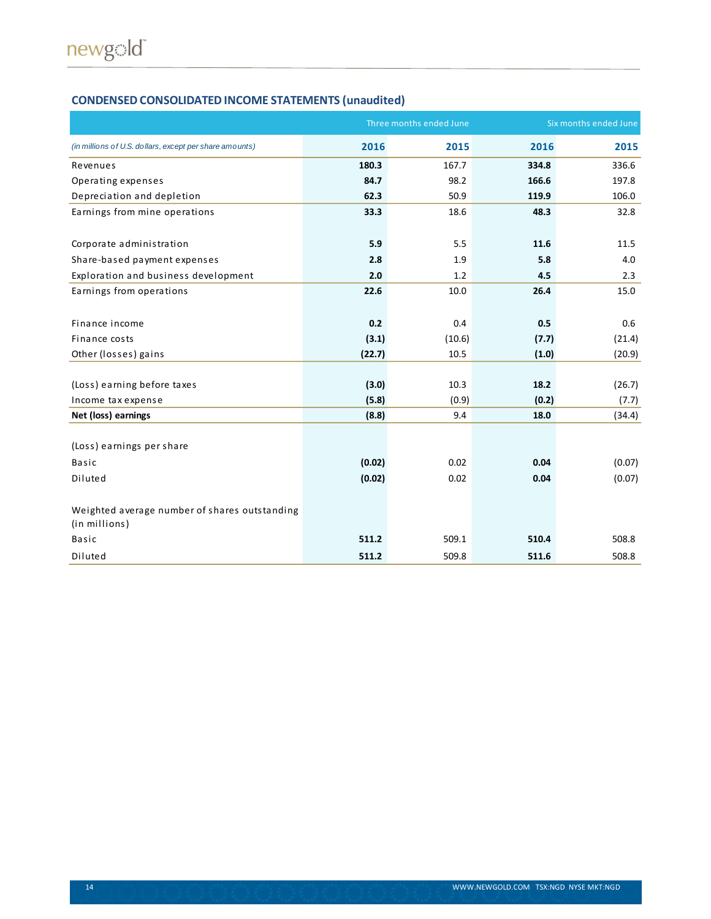# **CONDENSED CONSOLIDATED INCOME STATEMENTS (unaudited)**

|                                                         | Three months ended June | Six months ended June |       |        |
|---------------------------------------------------------|-------------------------|-----------------------|-------|--------|
| (in millions of U.S. dollars, except per share amounts) | 2016                    | 2015                  | 2016  | 2015   |
| Revenues                                                | 180.3                   | 167.7                 | 334.8 | 336.6  |
| Operating expenses                                      | 84.7                    | 98.2                  | 166.6 | 197.8  |
| Depreciation and depletion                              | 62.3                    | 50.9                  | 119.9 | 106.0  |
| Earnings from mine operations                           | 33.3                    | 18.6                  | 48.3  | 32.8   |
|                                                         |                         |                       |       |        |
| Corporate administration                                | 5.9                     | 5.5                   | 11.6  | 11.5   |
| Share-based payment expenses                            | 2.8                     | 1.9                   | 5.8   | 4.0    |
| Exploration and business development                    | 2.0                     | 1.2                   | 4.5   | 2.3    |
| Earnings from operations                                | 22.6                    | 10.0                  | 26.4  | 15.0   |
|                                                         |                         |                       |       |        |
| Finance income                                          | 0.2                     | 0.4                   | 0.5   | 0.6    |
| Finance costs                                           | (3.1)                   | (10.6)                | (7.7) | (21.4) |
| Other (losses) gains                                    | (22.7)                  | 10.5                  | (1.0) | (20.9) |
|                                                         |                         |                       |       |        |
| (Loss) earning before taxes                             | (3.0)                   | 10.3                  | 18.2  | (26.7) |
| Income tax expense                                      | (5.8)                   | (0.9)                 | (0.2) | (7.7)  |
| Net (loss) earnings                                     | (8.8)                   | 9.4                   | 18.0  | (34.4) |
|                                                         |                         |                       |       |        |
| (Loss) earnings per share                               |                         |                       |       |        |
| <b>Basic</b>                                            | (0.02)                  | 0.02                  | 0.04  | (0.07) |
| Diluted                                                 | (0.02)                  | 0.02                  | 0.04  | (0.07) |
|                                                         |                         |                       |       |        |
| Weighted average number of shares outstanding           |                         |                       |       |        |
| (in millions)                                           |                         |                       |       |        |
| <b>Basic</b>                                            | 511.2                   | 509.1                 | 510.4 | 508.8  |
| Diluted                                                 | 511.2                   | 509.8                 | 511.6 | 508.8  |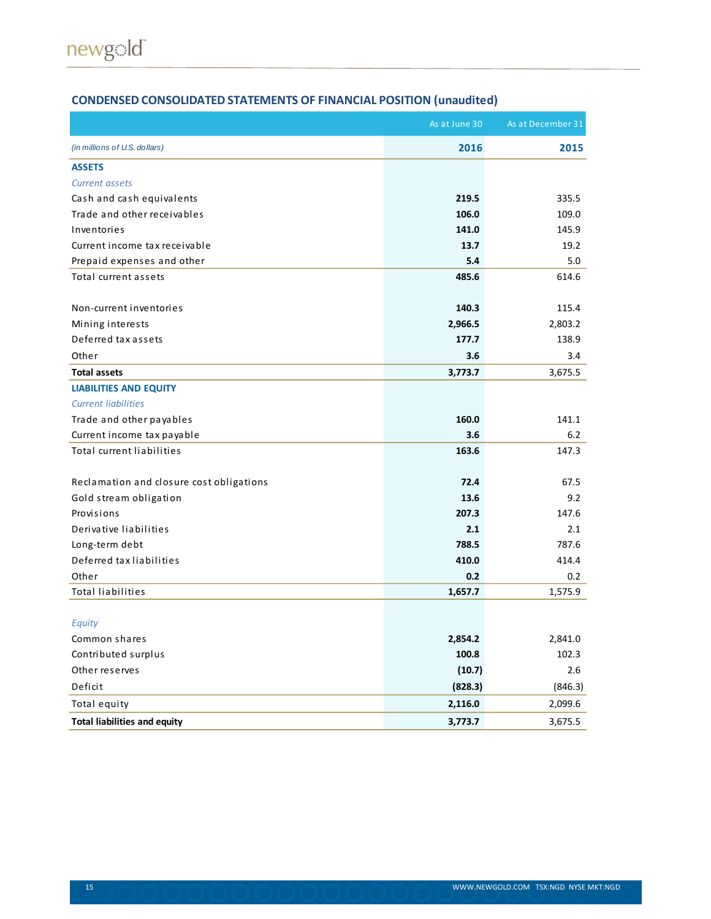# **CONDENSED CONSOLIDATED STATEMENTS OF FINANCIAL POSITION (unaudited)**

|                                          | As at June 30 | As at December 31 |
|------------------------------------------|---------------|-------------------|
| (in millions of U.S. dollars)            | 2016          | 2015              |
| <b>ASSETS</b>                            |               |                   |
| <b>Current assets</b>                    |               |                   |
| Cash and cash equivalents                | 219.5         | 335.5             |
| Trade and other receivables              | 106.0         | 109.0             |
| Inventories                              | 141.0         | 145.9             |
| Current income tax receivable            | 13.7          | 19.2              |
| Prepaid expenses and other               | 5.4           | 5.0               |
| Total current assets                     | 485.6         | 614.6             |
| Non-current inventories                  | 140.3         | 115.4             |
| Mining interests                         | 2,966.5       | 2,803.2           |
| Deferred tax assets                      | 177.7         | 138.9             |
| Other                                    | 3.6           | 3.4               |
| <b>Total assets</b>                      | 3,773.7       | 3,675.5           |
| <b>LIABILITIES AND EQUITY</b>            |               |                   |
| <b>Current liabilities</b>               |               |                   |
| Trade and other payables                 | 160.0         | 141.1             |
| Current income tax payable               | 3.6           | 6.2               |
| Total current liabilities                | 163.6         | 147.3             |
| Reclamation and closure cost obligations | 72.4          | 67.5              |
| Gold stream obligation                   | 13.6          | 9.2               |
| Provisions                               | 207.3         | 147.6             |
| Derivative liabilities                   | 2.1           | 2.1               |
| Long-term debt                           | 788.5         | 787.6             |
| Deferred tax liabilities                 | 410.0         | 414.4             |
| Other                                    | 0.2           | $0.2\,$           |
| <b>Total liabilities</b>                 | 1,657.7       | 1,575.9           |
|                                          |               |                   |
| Equity                                   |               |                   |
| Common shares                            | 2,854.2       | 2,841.0           |
| Contributed surplus                      | 100.8         | 102.3             |
| Other reserves                           | (10.7)        | 2.6               |
| Deficit                                  | (828.3)       | (846.3)           |
| Total equity                             | 2,116.0       | 2,099.6           |
| <b>Total liabilities and equity</b>      | 3,773.7       | 3,675.5           |